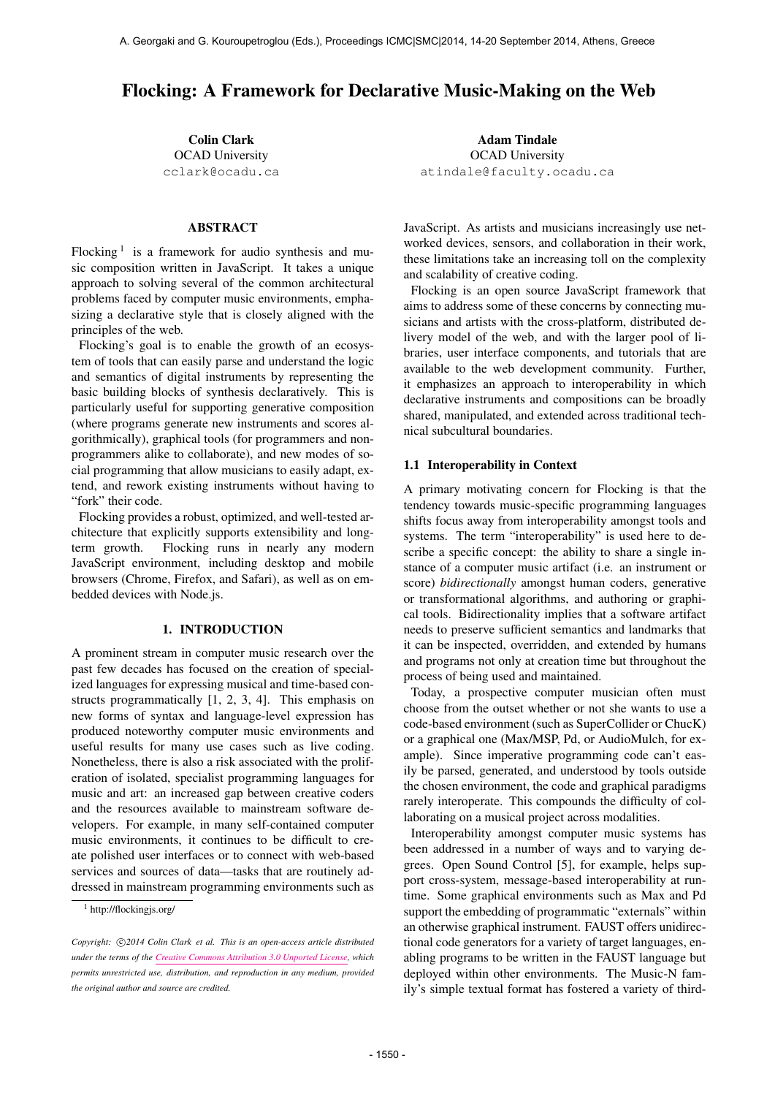# Flocking: A Framework for Declarative Music-Making on the Web

Colin Clark OCAD University [cclark@ocadu.ca](mailto:cclark@ocadu.ca)

# ABSTRACT

Flocking<sup>1</sup> is a framework for audio synthesis and music composition written in JavaScript. It takes a unique approach to solving several of the common architectural problems faced by computer music environments, emphasizing a declarative style that is closely aligned with the principles of the web.

Flocking's goal is to enable the growth of an ecosystem of tools that can easily parse and understand the logic and semantics of digital instruments by representing the basic building blocks of synthesis declaratively. This is particularly useful for supporting generative composition (where programs generate new instruments and scores algorithmically), graphical tools (for programmers and nonprogrammers alike to collaborate), and new modes of social programming that allow musicians to easily adapt, extend, and rework existing instruments without having to "fork" their code.

Flocking provides a robust, optimized, and well-tested architecture that explicitly supports extensibility and longterm growth. Flocking runs in nearly any modern JavaScript environment, including desktop and mobile browsers (Chrome, Firefox, and Safari), as well as on embedded devices with Node.js.

## 1. INTRODUCTION

A prominent stream in computer music research over the past few decades has focused on the creation of specialized languages for expressing musical and time-based constructs programmatically [1, 2, 3, 4]. This emphasis on new forms of syntax and language-level expression has produced noteworthy computer music environments and useful results for many use cases such as live coding. Nonetheless, there is also a risk associated with the proliferation of isolated, specialist programming languages for music and art: an increased gap between creative coders and the resources available to mainstream software developers. For example, in many self-contained computer music environments, it continues to be difficult to create polished user interfaces or to connect with web-based services and sources of data—tasks that are routinely addressed in mainstream programming environments such as

Adam Tindale OCAD University [atindale@faculty.ocadu.ca](mailto:atindale@faculty.ocadu.ca)

JavaScript. As artists and musicians increasingly use networked devices, sensors, and collaboration in their work, these limitations take an increasing toll on the complexity and scalability of creative coding.

Flocking is an open source JavaScript framework that aims to address some of these concerns by connecting musicians and artists with the cross-platform, distributed delivery model of the web, and with the larger pool of libraries, user interface components, and tutorials that are available to the web development community. Further, it emphasizes an approach to interoperability in which declarative instruments and compositions can be broadly shared, manipulated, and extended across traditional technical subcultural boundaries.

## 1.1 Interoperability in Context

A primary motivating concern for Flocking is that the tendency towards music-specific programming languages shifts focus away from interoperability amongst tools and systems. The term "interoperability" is used here to describe a specific concept: the ability to share a single instance of a computer music artifact (i.e. an instrument or score) *bidirectionally* amongst human coders, generative or transformational algorithms, and authoring or graphical tools. Bidirectionality implies that a software artifact needs to preserve sufficient semantics and landmarks that it can be inspected, overridden, and extended by humans and programs not only at creation time but throughout the process of being used and maintained.

Today, a prospective computer musician often must choose from the outset whether or not she wants to use a code-based environment (such as SuperCollider or ChucK) or a graphical one (Max/MSP, Pd, or AudioMulch, for example). Since imperative programming code can't easily be parsed, generated, and understood by tools outside the chosen environment, the code and graphical paradigms rarely interoperate. This compounds the difficulty of collaborating on a musical project across modalities.

Interoperability amongst computer music systems has been addressed in a number of ways and to varying degrees. Open Sound Control [5], for example, helps support cross-system, message-based interoperability at runtime. Some graphical environments such as Max and Pd support the embedding of programmatic "externals" within an otherwise graphical instrument. FAUST offers unidirectional code generators for a variety of target languages, enabling programs to be written in the FAUST language but deployed within other environments. The Music-N family's simple textual format has fostered a variety of third-

<sup>1</sup> http://flockingjs.org/

Copyright:  $\bigcirc$ 2014 Colin Clark et al. This is an open-access article distributed *under the terms of the [Creative Commons Attribution 3.0 Unported License,](http://creativecommons.org/licenses/by/3.0/) which permits unrestricted use, distribution, and reproduction in any medium, provided the original author and source are credited.*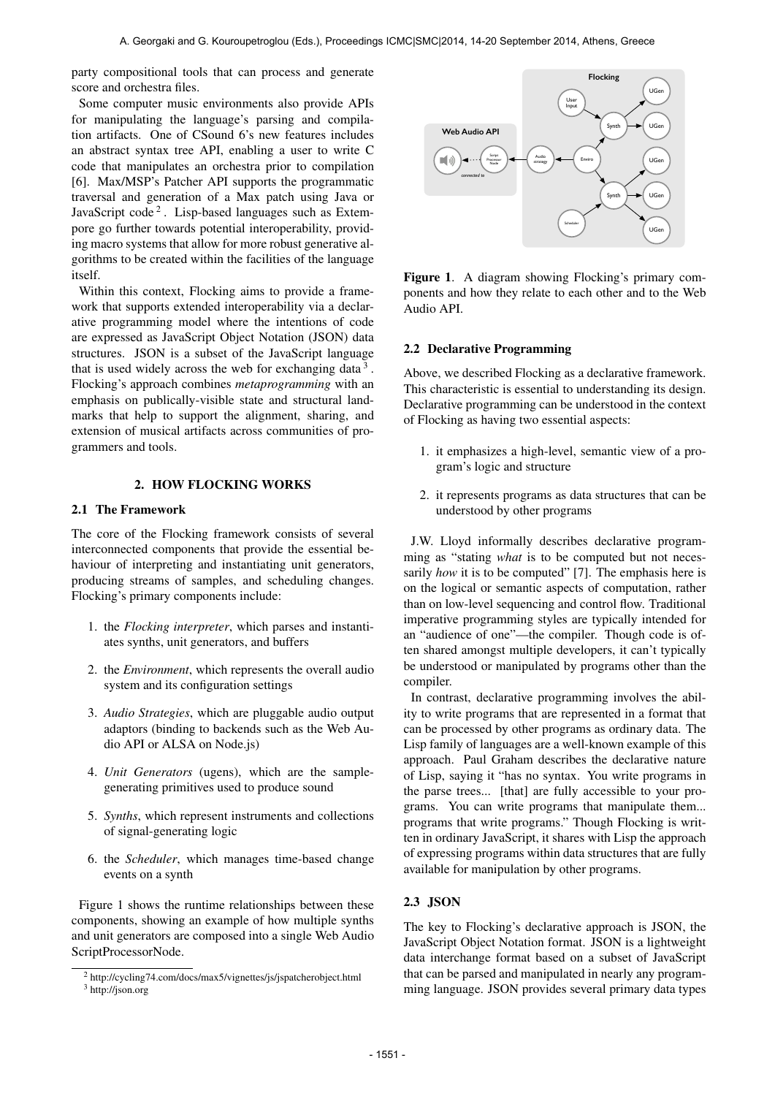party compositional tools that can process and generate score and orchestra files.

Some computer music environments also provide APIs for manipulating the language's parsing and compilation artifacts. One of CSound 6's new features includes an abstract syntax tree API, enabling a user to write C code that manipulates an orchestra prior to compilation [6]. Max/MSP's Patcher API supports the programmatic traversal and generation of a Max patch using Java or JavaScript code<sup>2</sup>. Lisp-based languages such as Extempore go further towards potential interoperability, providing macro systems that allow for more robust generative algorithms to be created within the facilities of the language itself.

Within this context, Flocking aims to provide a framework that supports extended interoperability via a declarative programming model where the intentions of code are expressed as JavaScript Object Notation (JSON) data structures. JSON is a subset of the JavaScript language that is used widely across the web for exchanging data  $3$ . Flocking's approach combines *metaprogramming* with an emphasis on publically-visible state and structural landmarks that help to support the alignment, sharing, and extension of musical artifacts across communities of programmers and tools.

# 2. HOW FLOCKING WORKS

# 2.1 The Framework

The core of the Flocking framework consists of several interconnected components that provide the essential behaviour of interpreting and instantiating unit generators, producing streams of samples, and scheduling changes. Flocking's primary components include:

- 1. the *Flocking interpreter*, which parses and instantiates synths, unit generators, and buffers
- 2. the *Environment*, which represents the overall audio system and its configuration settings
- 3. *Audio Strategies*, which are pluggable audio output adaptors (binding to backends such as the Web Audio API or ALSA on Node.js)
- 4. *Unit Generators* (ugens), which are the samplegenerating primitives used to produce sound
- 5. *Synths*, which represent instruments and collections of signal-generating logic
- 6. the *Scheduler*, which manages time-based change events on a synth

Figure 1 shows the runtime relationships between these components, showing an example of how multiple synths and unit generators are composed into a single Web Audio ScriptProcessorNode.



Figure 1. A diagram showing Flocking's primary components and how they relate to each other and to the Web Audio API.

### 2.2 Declarative Programming

Above, we described Flocking as a declarative framework. This characteristic is essential to understanding its design. Declarative programming can be understood in the context of Flocking as having two essential aspects:

- 1. it emphasizes a high-level, semantic view of a program's logic and structure
- 2. it represents programs as data structures that can be understood by other programs

J.W. Lloyd informally describes declarative programming as "stating *what* is to be computed but not necessarily *how* it is to be computed" [7]. The emphasis here is on the logical or semantic aspects of computation, rather than on low-level sequencing and control flow. Traditional imperative programming styles are typically intended for an "audience of one"—the compiler. Though code is often shared amongst multiple developers, it can't typically be understood or manipulated by programs other than the compiler.

In contrast, declarative programming involves the ability to write programs that are represented in a format that can be processed by other programs as ordinary data. The Lisp family of languages are a well-known example of this approach. Paul Graham describes the declarative nature of Lisp, saying it "has no syntax. You write programs in the parse trees... [that] are fully accessible to your programs. You can write programs that manipulate them... programs that write programs." Though Flocking is written in ordinary JavaScript, it shares with Lisp the approach of expressing programs within data structures that are fully available for manipulation by other programs.

# 2.3 JSON

The key to Flocking's declarative approach is JSON, the JavaScript Object Notation format. JSON is a lightweight data interchange format based on a subset of JavaScript that can be parsed and manipulated in nearly any programming language. JSON provides several primary data types

<sup>2</sup> http://cycling74.com/docs/max5/vignettes/js/jspatcherobject.html <sup>3</sup> http://json.org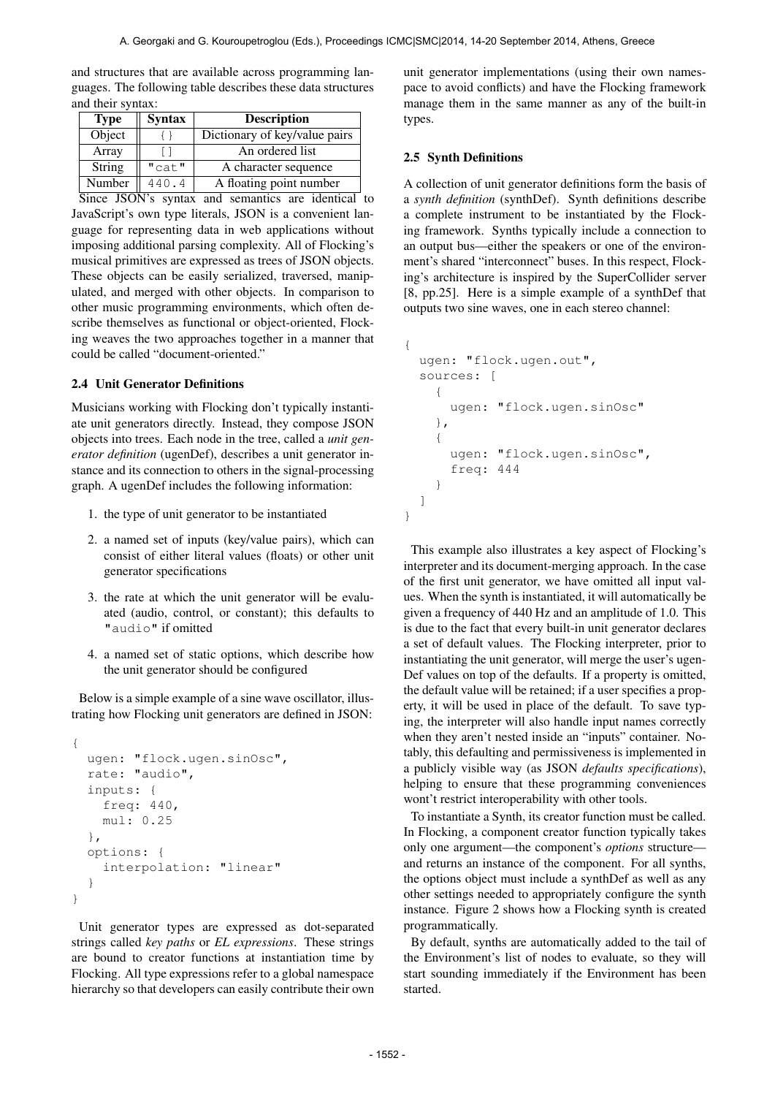and structures that are available across programming languages. The following table describes these data structures and their syntax:

| <b>Type</b>   | <b>Syntax</b> | <b>Description</b>            |
|---------------|---------------|-------------------------------|
| Object        |               | Dictionary of key/value pairs |
| Array         |               | An ordered list               |
| <b>String</b> | "cat"         | A character sequence          |
| Number        | 440.4         | A floating point number       |

Since JSON's syntax and semantics are identical to JavaScript's own type literals, JSON is a convenient language for representing data in web applications without imposing additional parsing complexity. All of Flocking's musical primitives are expressed as trees of JSON objects. These objects can be easily serialized, traversed, manipulated, and merged with other objects. In comparison to other music programming environments, which often describe themselves as functional or object-oriented, Flocking weaves the two approaches together in a manner that could be called "document-oriented."

#### 2.4 Unit Generator Definitions

Musicians working with Flocking don't typically instantiate unit generators directly. Instead, they compose JSON objects into trees. Each node in the tree, called a *unit generator definition* (ugenDef), describes a unit generator instance and its connection to others in the signal-processing graph. A ugenDef includes the following information:

- 1. the type of unit generator to be instantiated
- 2. a named set of inputs (key/value pairs), which can consist of either literal values (floats) or other unit generator specifications
- 3. the rate at which the unit generator will be evaluated (audio, control, or constant); this defaults to "audio" if omitted
- 4. a named set of static options, which describe how the unit generator should be configured

Below is a simple example of a sine wave oscillator, illustrating how Flocking unit generators are defined in JSON:

```
{
  ugen: "flock.ugen.sinOsc",
  rate: "audio",
  inputs: {
    freq: 440,
    mul: 0.25
  },
  options: {
    interpolation: "linear"
  }
}
```
Unit generator types are expressed as dot-separated strings called *key paths* or *EL expressions*. These strings are bound to creator functions at instantiation time by Flocking. All type expressions refer to a global namespace hierarchy so that developers can easily contribute their own unit generator implementations (using their own namespace to avoid conflicts) and have the Flocking framework manage them in the same manner as any of the built-in types.

#### 2.5 Synth Definitions

A collection of unit generator definitions form the basis of a *synth definition* (synthDef). Synth definitions describe a complete instrument to be instantiated by the Flocking framework. Synths typically include a connection to an output bus—either the speakers or one of the environment's shared "interconnect" buses. In this respect, Flocking's architecture is inspired by the SuperCollider server [8, pp.25]. Here is a simple example of a synthDef that outputs two sine waves, one in each stereo channel:

```
{
  ugen: "flock.ugen.out",
  sources: [
    {
      ugen: "flock.ugen.sinOsc"
    },
    {
      ugen: "flock.ugen.sinOsc",
      freq: 444
    }
  ]
}
```
This example also illustrates a key aspect of Flocking's interpreter and its document-merging approach. In the case of the first unit generator, we have omitted all input values. When the synth is instantiated, it will automatically be given a frequency of 440 Hz and an amplitude of 1.0. This is due to the fact that every built-in unit generator declares a set of default values. The Flocking interpreter, prior to instantiating the unit generator, will merge the user's ugen-Def values on top of the defaults. If a property is omitted, the default value will be retained; if a user specifies a property, it will be used in place of the default. To save typing, the interpreter will also handle input names correctly when they aren't nested inside an "inputs" container. Notably, this defaulting and permissiveness is implemented in a publicly visible way (as JSON *defaults specifications*), helping to ensure that these programming conveniences wont't restrict interoperability with other tools.

To instantiate a Synth, its creator function must be called. In Flocking, a component creator function typically takes only one argument—the component's *options* structure and returns an instance of the component. For all synths, the options object must include a synthDef as well as any other settings needed to appropriately configure the synth instance. Figure 2 shows how a Flocking synth is created programmatically.

By default, synths are automatically added to the tail of the Environment's list of nodes to evaluate, so they will start sounding immediately if the Environment has been started.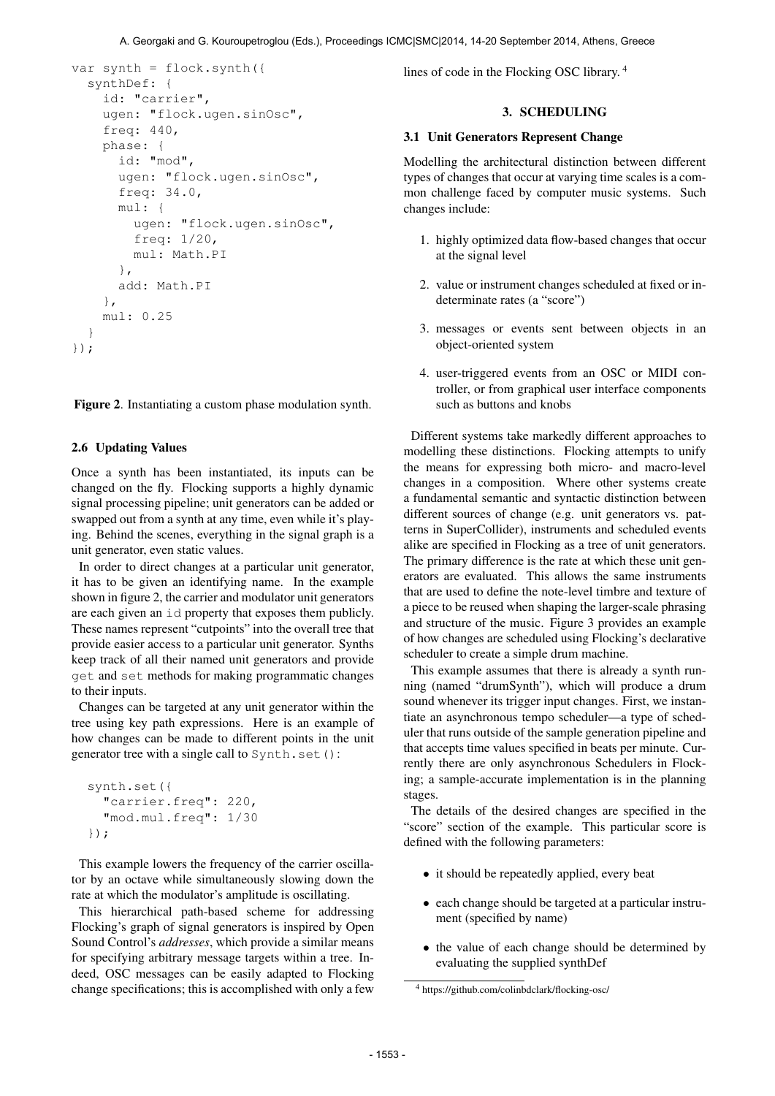```
var synth = flock.synth({
  synthDef: {
    id: "carrier",
    ugen: "flock.ugen.sinOsc",
    freq: 440,
    phase: {
      id: "mod",
      ugen: "flock.ugen.sinOsc",
      freq: 34.0,
      mul: {
        ugen: "flock.ugen.sinOsc",
        freq: 1/20,
        mul: Math.PI
      },
      add: Math.PI
    },
    mul: 0.25
  }
});
```
Figure 2. Instantiating a custom phase modulation synth.

# 2.6 Updating Values

Once a synth has been instantiated, its inputs can be changed on the fly. Flocking supports a highly dynamic signal processing pipeline; unit generators can be added or swapped out from a synth at any time, even while it's playing. Behind the scenes, everything in the signal graph is a unit generator, even static values.

In order to direct changes at a particular unit generator, it has to be given an identifying name. In the example shown in figure 2, the carrier and modulator unit generators are each given an id property that exposes them publicly. These names represent "cutpoints" into the overall tree that provide easier access to a particular unit generator. Synths keep track of all their named unit generators and provide get and set methods for making programmatic changes to their inputs.

Changes can be targeted at any unit generator within the tree using key path expressions. Here is an example of how changes can be made to different points in the unit generator tree with a single call to Synth.set():

```
synth.set({
  "carrier.freq": 220,
  "mod.mul.freq": 1/30
});
```
This example lowers the frequency of the carrier oscillator by an octave while simultaneously slowing down the rate at which the modulator's amplitude is oscillating.

This hierarchical path-based scheme for addressing Flocking's graph of signal generators is inspired by Open Sound Control's *addresses*, which provide a similar means for specifying arbitrary message targets within a tree. Indeed, OSC messages can be easily adapted to Flocking change specifications; this is accomplished with only a few lines of code in the Flocking OSC library. 4

# 3. SCHEDULING

#### 3.1 Unit Generators Represent Change

Modelling the architectural distinction between different types of changes that occur at varying time scales is a common challenge faced by computer music systems. Such changes include:

- 1. highly optimized data flow-based changes that occur at the signal level
- 2. value or instrument changes scheduled at fixed or indeterminate rates (a "score")
- 3. messages or events sent between objects in an object-oriented system
- 4. user-triggered events from an OSC or MIDI controller, or from graphical user interface components such as buttons and knobs

Different systems take markedly different approaches to modelling these distinctions. Flocking attempts to unify the means for expressing both micro- and macro-level changes in a composition. Where other systems create a fundamental semantic and syntactic distinction between different sources of change (e.g. unit generators vs. patterns in SuperCollider), instruments and scheduled events alike are specified in Flocking as a tree of unit generators. The primary difference is the rate at which these unit generators are evaluated. This allows the same instruments that are used to define the note-level timbre and texture of a piece to be reused when shaping the larger-scale phrasing and structure of the music. Figure 3 provides an example of how changes are scheduled using Flocking's declarative scheduler to create a simple drum machine.

This example assumes that there is already a synth running (named "drumSynth"), which will produce a drum sound whenever its trigger input changes. First, we instantiate an asynchronous tempo scheduler—a type of scheduler that runs outside of the sample generation pipeline and that accepts time values specified in beats per minute. Currently there are only asynchronous Schedulers in Flocking; a sample-accurate implementation is in the planning stages.

The details of the desired changes are specified in the "score" section of the example. This particular score is defined with the following parameters:

- it should be repeatedly applied, every beat
- each change should be targeted at a particular instrument (specified by name)
- the value of each change should be determined by evaluating the supplied synthDef

<sup>4</sup> https://github.com/colinbdclark/flocking-osc/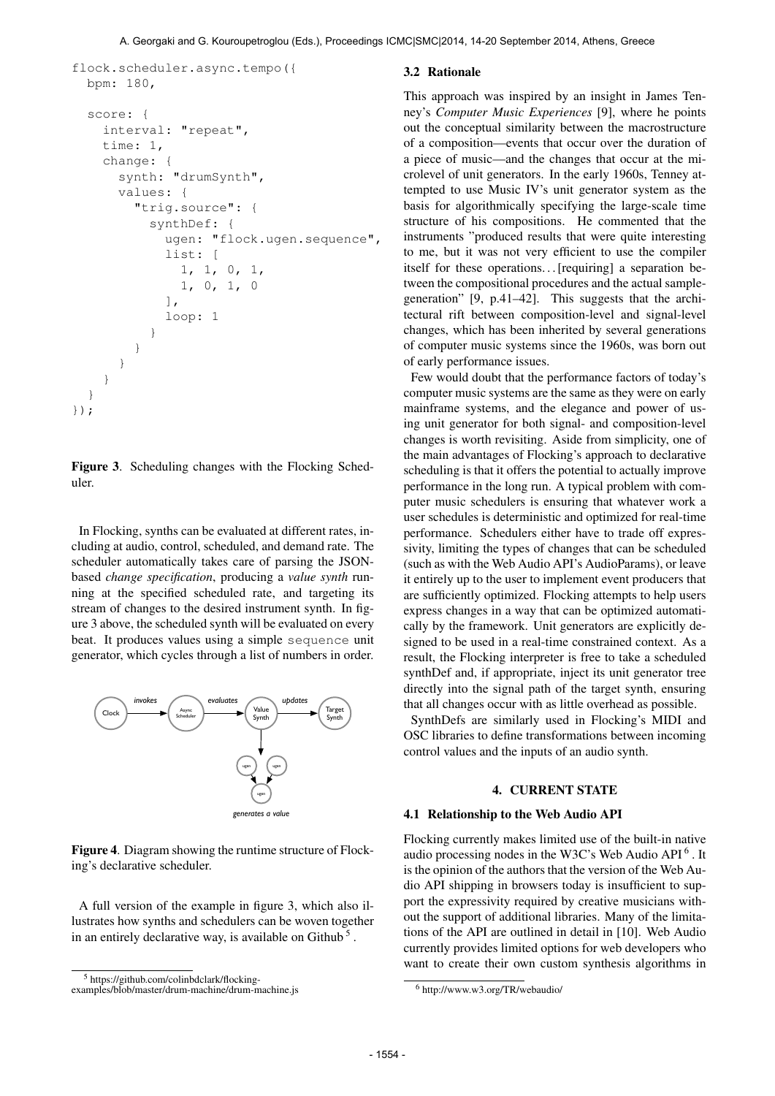```
flock.scheduler.async.tempo({
 bpm: 180,
  score: {
    interval: "repeat",
    time: 1,
    change: {
      synth: "drumSynth",
      values: {
        "trig.source": {
          synthDef: {
```

```
list: [
           1, 1, 0, 1,
           1, 0, 1, 0
         ],
         loop: 1
       }
    }
  }
}
```
ugen: "flock.ugen.sequence",

Figure 3. Scheduling changes with the Flocking Scheduler.

} });

In Flocking, synths can be evaluated at different rates, including at audio, control, scheduled, and demand rate. The scheduler automatically takes care of parsing the JSONbased *change specification*, producing a *value synth* running at the specified scheduled rate, and targeting its stream of changes to the desired instrument synth. In figure 3 above, the scheduled synth will be evaluated on every beat. It produces values using a simple sequence unit generator, which cycles through a list of numbers in order.



Figure 4. Diagram showing the runtime structure of Flocking's declarative scheduler.

A full version of the example in figure 3, which also illustrates how synths and schedulers can be woven together in an entirely declarative way, is available on Github<sup>5</sup>.

#### 3.2 Rationale

This approach was inspired by an insight in James Tenney's *Computer Music Experiences* [9], where he points out the conceptual similarity between the macrostructure of a composition—events that occur over the duration of a piece of music—and the changes that occur at the microlevel of unit generators. In the early 1960s, Tenney attempted to use Music IV's unit generator system as the basis for algorithmically specifying the large-scale time structure of his compositions. He commented that the instruments "produced results that were quite interesting to me, but it was not very efficient to use the compiler itself for these operations... [requiring] a separation between the compositional procedures and the actual samplegeneration" [9, p.41–42]. This suggests that the architectural rift between composition-level and signal-level changes, which has been inherited by several generations of computer music systems since the 1960s, was born out of early performance issues.

Few would doubt that the performance factors of today's computer music systems are the same as they were on early mainframe systems, and the elegance and power of using unit generator for both signal- and composition-level changes is worth revisiting. Aside from simplicity, one of the main advantages of Flocking's approach to declarative scheduling is that it offers the potential to actually improve performance in the long run. A typical problem with computer music schedulers is ensuring that whatever work a user schedules is deterministic and optimized for real-time performance. Schedulers either have to trade off expressivity, limiting the types of changes that can be scheduled (such as with the Web Audio API's AudioParams), or leave it entirely up to the user to implement event producers that are sufficiently optimized. Flocking attempts to help users express changes in a way that can be optimized automatically by the framework. Unit generators are explicitly designed to be used in a real-time constrained context. As a result, the Flocking interpreter is free to take a scheduled synthDef and, if appropriate, inject its unit generator tree directly into the signal path of the target synth, ensuring that all changes occur with as little overhead as possible.

SynthDefs are similarly used in Flocking's MIDI and OSC libraries to define transformations between incoming control values and the inputs of an audio synth.

## 4. CURRENT STATE

#### 4.1 Relationship to the Web Audio API

Flocking currently makes limited use of the built-in native audio processing nodes in the W3C's Web Audio API<sup>6</sup>. It is the opinion of the authors that the version of the Web Audio API shipping in browsers today is insufficient to support the expressivity required by creative musicians without the support of additional libraries. Many of the limitations of the API are outlined in detail in [10]. Web Audio currently provides limited options for web developers who want to create their own custom synthesis algorithms in

<sup>5</sup> https://github.com/colinbdclark/flocking-

examples/blob/master/drum-machine/drum-machine.js

<sup>6</sup> http://www.w3.org/TR/webaudio/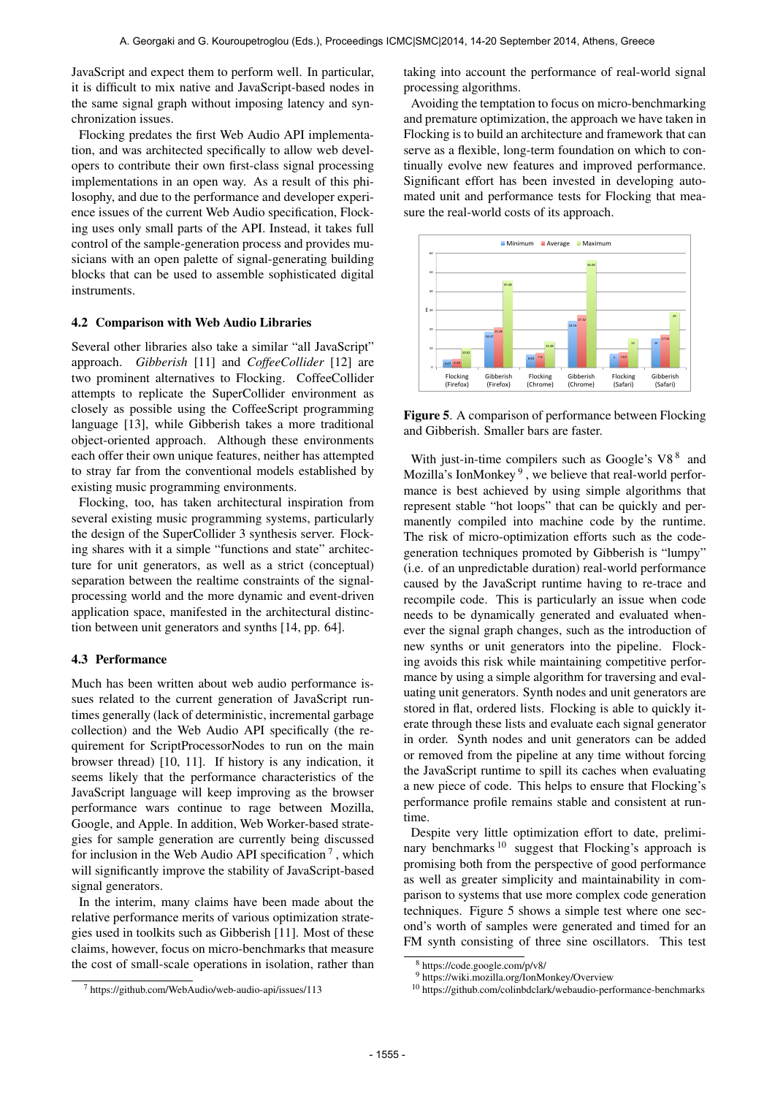JavaScript and expect them to perform well. In particular, it is difficult to mix native and JavaScript-based nodes in the same signal graph without imposing latency and synchronization issues.

Flocking predates the first Web Audio API implementation, and was architected specifically to allow web developers to contribute their own first-class signal processing implementations in an open way. As a result of this philosophy, and due to the performance and developer experience issues of the current Web Audio specification, Flocking uses only small parts of the API. Instead, it takes full control of the sample-generation process and provides musicians with an open palette of signal-generating building blocks that can be used to assemble sophisticated digital instruments.

## 4.2 Comparison with Web Audio Libraries

Several other libraries also take a similar "all JavaScript" approach. *Gibberish* [11] and *CoffeeCollider* [12] are two prominent alternatives to Flocking. CoffeeCollider attempts to replicate the SuperCollider environment as closely as possible using the CoffeeScript programming language [13], while Gibberish takes a more traditional object-oriented approach. Although these environments each offer their own unique features, neither has attempted to stray far from the conventional models established by existing music programming environments.

Flocking, too, has taken architectural inspiration from several existing music programming systems, particularly the design of the SuperCollider 3 synthesis server. Flocking shares with it a simple "functions and state" architecture for unit generators, as well as a strict (conceptual) separation between the realtime constraints of the signalprocessing world and the more dynamic and event-driven application space, manifested in the architectural distinction between unit generators and synths [14, pp. 64].

#### 4.3 Performance

Much has been written about web audio performance issues related to the current generation of JavaScript runtimes generally (lack of deterministic, incremental garbage collection) and the Web Audio API specifically (the requirement for ScriptProcessorNodes to run on the main browser thread) [10, 11]. If history is any indication, it seems likely that the performance characteristics of the JavaScript language will keep improving as the browser performance wars continue to rage between Mozilla, Google, and Apple. In addition, Web Worker-based strategies for sample generation are currently being discussed for inclusion in the Web Audio API specification<sup>7</sup>, which will significantly improve the stability of JavaScript-based signal generators.

In the interim, many claims have been made about the relative performance merits of various optimization strategies used in toolkits such as Gibberish [11]. Most of these claims, however, focus on micro-benchmarks that measure the cost of small-scale operations in isolation, rather than taking into account the performance of real-world signal processing algorithms.

Avoiding the temptation to focus on micro-benchmarking and premature optimization, the approach we have taken in Flocking is to build an architecture and framework that can serve as a flexible, long-term foundation on which to continually evolve new features and improved performance. Significant effort has been invested in developing automated unit and performance tests for Flocking that measure the real-world costs of its approach.



Figure 5. A comparison of performance between Flocking and Gibberish. Smaller bars are faster.

With just-in-time compilers such as Google's  $V8<sup>8</sup>$  and Mozilla's IonMonkey<sup>9</sup>, we believe that real-world performance is best achieved by using simple algorithms that represent stable "hot loops" that can be quickly and permanently compiled into machine code by the runtime. The risk of micro-optimization efforts such as the codegeneration techniques promoted by Gibberish is "lumpy" (i.e. of an unpredictable duration) real-world performance caused by the JavaScript runtime having to re-trace and recompile code. This is particularly an issue when code needs to be dynamically generated and evaluated whenever the signal graph changes, such as the introduction of new synths or unit generators into the pipeline. Flocking avoids this risk while maintaining competitive performance by using a simple algorithm for traversing and evaluating unit generators. Synth nodes and unit generators are stored in flat, ordered lists. Flocking is able to quickly iterate through these lists and evaluate each signal generator in order. Synth nodes and unit generators can be added or removed from the pipeline at any time without forcing the JavaScript runtime to spill its caches when evaluating a new piece of code. This helps to ensure that Flocking's performance profile remains stable and consistent at runtime.

Despite very little optimization effort to date, preliminary benchmarks<sup>10</sup> suggest that Flocking's approach is promising both from the perspective of good performance as well as greater simplicity and maintainability in comparison to systems that use more complex code generation techniques. Figure 5 shows a simple test where one second's worth of samples were generated and timed for an FM synth consisting of three sine oscillators. This test

<sup>7</sup> https://github.com/WebAudio/web-audio-api/issues/113

<sup>8</sup> https://code.google.com/p/v8/

<sup>9</sup> https://wiki.mozilla.org/IonMonkey/Overview

<sup>10</sup> https://github.com/colinbdclark/webaudio-performance-benchmarks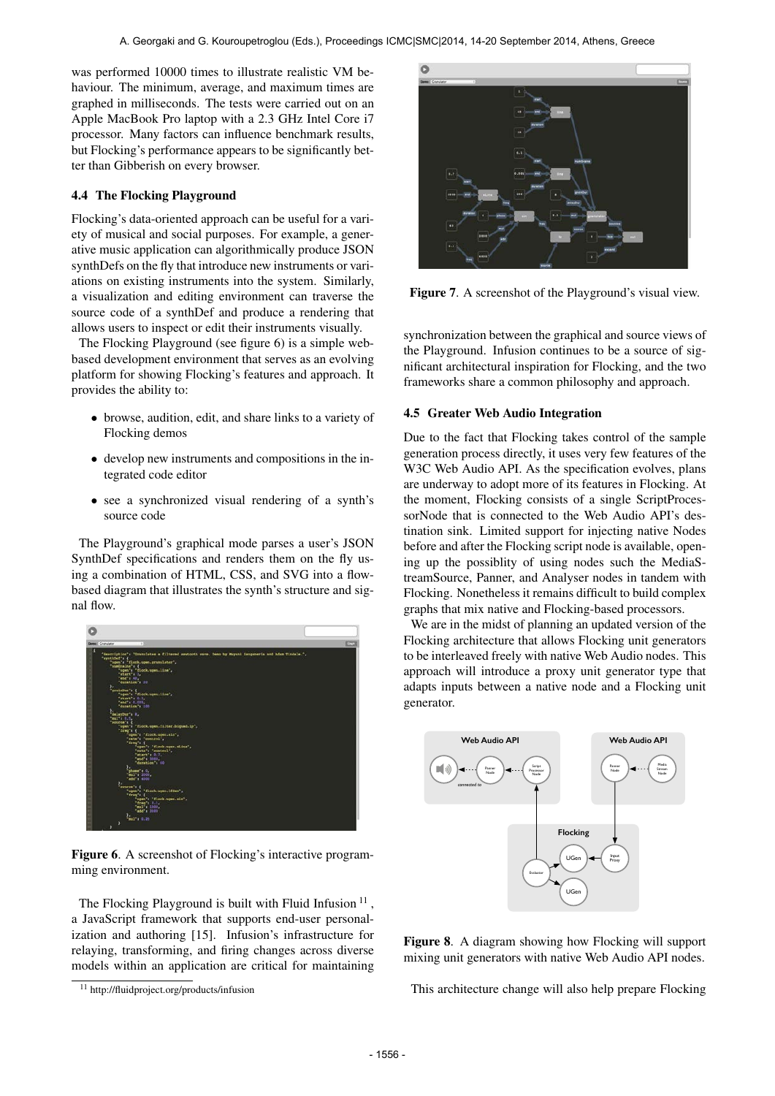was performed 10000 times to illustrate realistic VM behaviour. The minimum, average, and maximum times are graphed in milliseconds. The tests were carried out on an Apple MacBook Pro laptop with a 2.3 GHz Intel Core i7 processor. Many factors can influence benchmark results, but Flocking's performance appears to be significantly better than Gibberish on every browser.

# 4.4 The Flocking Playground

Flocking's data-oriented approach can be useful for a variety of musical and social purposes. For example, a generative music application can algorithmically produce JSON synthDefs on the fly that introduce new instruments or variations on existing instruments into the system. Similarly, a visualization and editing environment can traverse the source code of a synthDef and produce a rendering that allows users to inspect or edit their instruments visually.

The Flocking Playground (see figure 6) is a simple webbased development environment that serves as an evolving platform for showing Flocking's features and approach. It provides the ability to:

- browse, audition, edit, and share links to a variety of Flocking demos
- develop new instruments and compositions in the integrated code editor
- see a synchronized visual rendering of a synth's source code

The Playground's graphical mode parses a user's JSON SynthDef specifications and renders them on the fly using a combination of HTML, CSS, and SVG into a flowbased diagram that illustrates the synth's structure and signal flow.



Figure 6. A screenshot of Flocking's interactive programming environment.

The Flocking Playground is built with Fluid Infusion  $11$ , a JavaScript framework that supports end-user personalization and authoring [15]. Infusion's infrastructure for relaying, transforming, and firing changes across diverse models within an application are critical for maintaining



Figure 7. A screenshot of the Playground's visual view.

synchronization between the graphical and source views of the Playground. Infusion continues to be a source of significant architectural inspiration for Flocking, and the two frameworks share a common philosophy and approach.

# 4.5 Greater Web Audio Integration

Due to the fact that Flocking takes control of the sample generation process directly, it uses very few features of the W3C Web Audio API. As the specification evolves, plans are underway to adopt more of its features in Flocking. At the moment, Flocking consists of a single ScriptProcessorNode that is connected to the Web Audio API's destination sink. Limited support for injecting native Nodes before and after the Flocking script node is available, opening up the possiblity of using nodes such the MediaStreamSource, Panner, and Analyser nodes in tandem with Flocking. Nonetheless it remains difficult to build complex graphs that mix native and Flocking-based processors.

We are in the midst of planning an updated version of the Flocking architecture that allows Flocking unit generators to be interleaved freely with native Web Audio nodes. This approach will introduce a proxy unit generator type that adapts inputs between a native node and a Flocking unit generator.



Figure 8. A diagram showing how Flocking will support mixing unit generators with native Web Audio API nodes.

This architecture change will also help prepare Flocking

<sup>11</sup> http://fluidproject.org/products/infusion